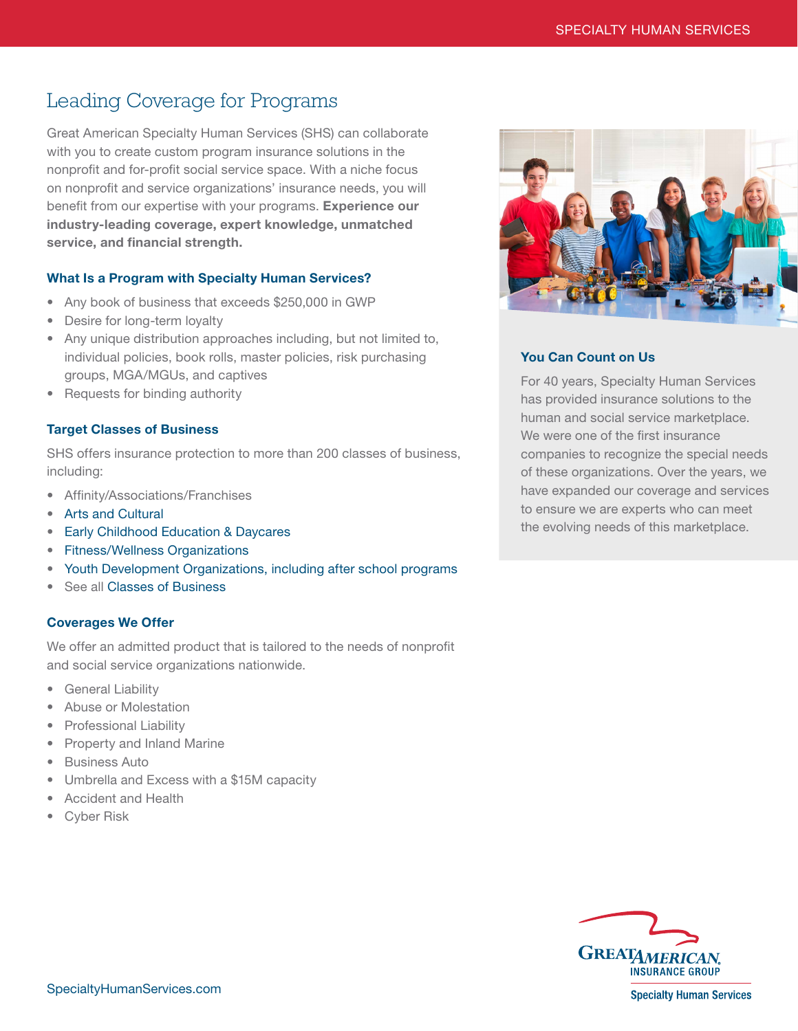# Leading Coverage for Programs

Great American Specialty Human Services (SHS) can collaborate with you to create custom program insurance solutions in the nonprofit and for-profit social service space. With a niche focus on nonprofit and service organizations' insurance needs, you will benefit from our expertise with your programs. Experience our industry-leading coverage, expert knowledge, unmatched service, and financial strength.

## What Is a Program with Specialty Human Services?

- Any book of business that exceeds \$250,000 in GWP
- Desire for long-term loyalty
- Any unique distribution approaches including, but not limited to, individual policies, book rolls, master policies, risk purchasing groups, MGA/MGUs, and captives
- Requests for binding authority

#### Target Classes of Business

SHS offers insurance protection to more than 200 classes of business, including:

- Affinity/Associations/Franchises
- [Arts and Cultural](https://www.greatamericaninsurancegroup.com/for-businesses/subproducts-details/specialty-human-services/organizations-we-serve/arts-and-cultural)
- [Early Childhood Education & Daycares](https://www.greatamericaninsurancegroup.com/for-businesses/subproducts-details/specialty-human-services/organizations-we-serve/education-daycare)
- [Fitness/Wellness Organizations](https://www.greatamericaninsurancegroup.com/for-businesses/subproducts-details/specialty-human-services/organizations-we-serve/recreation-and-sports)
- [Youth Development Organizations, including after school programs](https://www.greatamericaninsurancegroup.com/for-businesses/subproducts-details/specialty-human-services/organizations-we-serve/youth-services)
- See all [Classes of Business](https://www.greatamericaninsurancegroup.com/docs/default-source/specialty-human-services/business-classes.pdf?sfvrsn=5c7575b1_4)

#### Coverages We Offer

We offer an admitted product that is tailored to the needs of nonprofit and social service organizations nationwide.

- General Liability
- Abuse or Molestation
- **Professional Liability**
- Property and Inland Marine
- Business Auto
- Umbrella and Excess with a \$15M capacity
- Accident and Health
- Cyber Risk



## You Can Count on Us

For 40 years, Specialty Human Services has provided insurance solutions to the human and social service marketplace. We were one of the first insurance companies to recognize the special needs of these organizations. Over the years, we have expanded our coverage and services to ensure we are experts who can meet the evolving needs of this marketplace.



SpecialtyHumanServices.com

**Specialty Human Services**